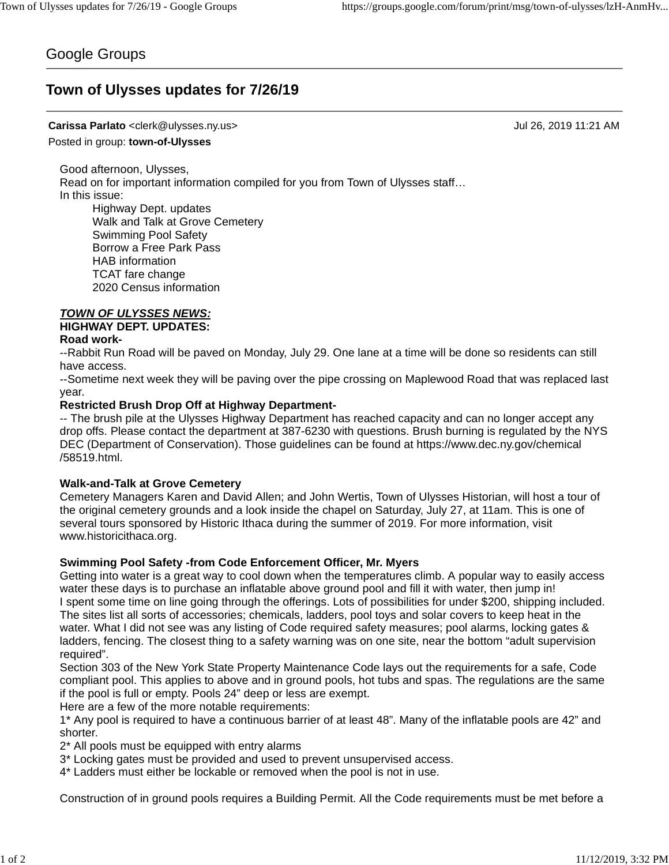## Google Groups

# **Town of Ulysses updates for 7/26/19**

## **Carissa Parlato** <clerk@ulysses.ny.us> Jul 26, 2019 11:21 AM

Posted in group: **town-of-Ulysses**

Good afternoon, Ulysses, Read on for important information compiled for you from Town of Ulysses staff… In this issue: Highway Dept. updates

Walk and Talk at Grove Cemetery Swimming Pool Safety Borrow a Free Park Pass HAB information TCAT fare change 2020 Census information

## *TOWN OF ULYSSES NEWS:*

**HIGHWAY DEPT. UPDATES:**

## **Road work-**

--Rabbit Run Road will be paved on Monday, July 29. One lane at a time will be done so residents can still have access.

--Sometime next week they will be paving over the pipe crossing on Maplewood Road that was replaced last year.

## **Restricted Brush Drop Off at Highway Department-**

-- The brush pile at the Ulysses Highway Department has reached capacity and can no longer accept any drop offs. Please contact the department at 387-6230 with questions. Brush burning is regulated by the NYS DEC (Department of Conservation). Those guidelines can be found at https://www.dec.ny.gov/chemical /58519.html.

### **Walk-and-Talk at Grove Cemetery**

Cemetery Managers Karen and David Allen; and John Wertis, Town of Ulysses Historian, will host a tour of the original cemetery grounds and a look inside the chapel on Saturday, July 27, at 11am. This is one of several tours sponsored by Historic Ithaca during the summer of 2019. For more information, visit www.historicithaca.org.

### **Swimming Pool Safety -from Code Enforcement Officer, Mr. Myers**

Getting into water is a great way to cool down when the temperatures climb. A popular way to easily access water these days is to purchase an inflatable above ground pool and fill it with water, then jump in! I spent some time on line going through the offerings. Lots of possibilities for under \$200, shipping included. The sites list all sorts of accessories; chemicals, ladders, pool toys and solar covers to keep heat in the water. What I did not see was any listing of Code required safety measures; pool alarms, locking gates & ladders, fencing. The closest thing to a safety warning was on one site, near the bottom "adult supervision required".

Section 303 of the New York State Property Maintenance Code lays out the requirements for a safe, Code compliant pool. This applies to above and in ground pools, hot tubs and spas. The regulations are the same if the pool is full or empty. Pools 24" deep or less are exempt.

Here are a few of the more notable requirements:

1\* Any pool is required to have a continuous barrier of at least 48". Many of the inflatable pools are 42" and shorter.

2\* All pools must be equipped with entry alarms

3\* Locking gates must be provided and used to prevent unsupervised access.

4\* Ladders must either be lockable or removed when the pool is not in use.

Construction of in ground pools requires a Building Permit. All the Code requirements must be met before a